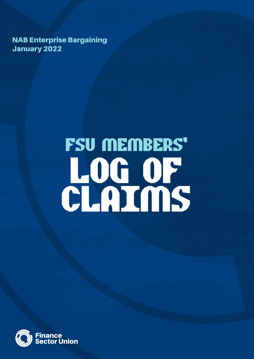NAB Enterprise Bargaining January 2022

# FSU MEMBERS' LOG OF CLAULA

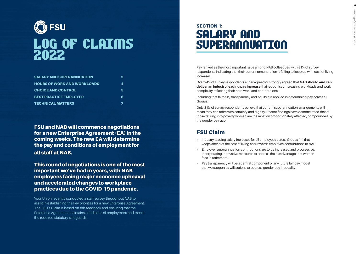

# SECTION 1: SALARY AND SUPERANNUATION

Pay ranked as the most important issue among NAB colleagues, with 81% of survey respondents indicating that their current remuneration is failing to keep up with cost-of-living increases.

Over 94% of survey respondents either agreed or strongly agreed that NAB should and can deliver an industry-leading pay increase that recognises increasing workloads and work complexity reflecting their hard work and contributions.

Including that fairness, transparency and equity are applied in determining pay across all Groups.

Only 31% of survey respondents believe that current superannuation arrangements will mean they can retire with certainty and dignity. Recent findings have demonstrated that of those retiring into poverty women are the most disproportionately affected, compounded by the gender pay gap.

### FSU Claim

- Industry-leading salary increases for all employees across Groups 1-4 that keeps ahead of the cost of living and rewards employee contributions to NAB.
- Employer superannuation contributions are to be increased and progressive. Incorporating innovative measures to address the disadvantage that women face in retirement.
- Pay transparency will be a central component of any future fair pay model that we support as will actions to address gender pay inequality.



FSU and NAB will commence negotiations for a new Enterprise Agreement (EA) in the coming weeks. The new EA will determine the pay and conditions of employment for all staff at NAB.

This round of negotiations is one of the most important we've had in years, with NAB employees facing major economic upheaval and accelerated changes to workplace practices due to the COVID-19 pandemic.

Your Union recently conducted a staff survey throughout NAB to assist in establishing the key priorities for a new Enterprise Agreement. The FSU's Claim is based on this feedback and ensuring that the Enterprise Agreement maintains conditions of employment and meets the required statutory safeguards.

| <b>SALARY AND SUPERANNUATION</b>   |    |
|------------------------------------|----|
| <b>HOURS OF WORK AND WORKLOADS</b> | Д. |
| <b>CHOICE AND CONTROL</b>          | 5  |
| <b>BEST PRACTICE EMPLOYER</b>      | ห  |
| <b>TECHNICAL MATTERS</b>           |    |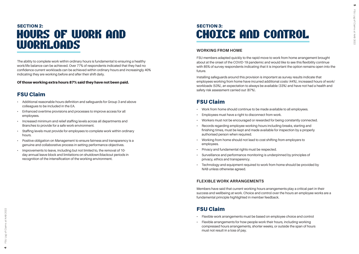

# SECTION 3: CHOICE AND CONTROL

#### **WORKING FROM HOME**

FSU members adapted quickly to the rapid move to work from home arrangement brought about at the onset of the COVID-19 pandemic and would like to see this flexibility continue with 85% of survey respondents indicating that it is important the option remains open into the future.

Installing safeguards around this provision is important as survey results indicate that employees working from home have incurred additional costs (44%), increased hours of work/ workloads (53%), an expectation to always be available (33%) and have not had a health and safety risk assessment carried out (87%).

### FSU Claim

- Work from home should continue to be made available to all employees.
- Employees must have a right to disconnect from work.
- Workers must not be encouraged or rewarded for being constantly connected.
- Records regarding employee working hours including breaks, starting and finishing times, must be kept and made available for inspection by a properly authorised person when required.
- Working from home should not lead to cost shifting from employers to employees.
- Privacy and fundamental rights must be respected.
- Surveillance and performance monitoring is underpinned by principles of privacy, ethics and transparency.
- Technology and equipment required to work from home should be provided by NAB unless otherwise agreed.

#### **FLEXIBLE WORK ARRANGEMENTS**

Members have said that current working hours arrangements play a critical part in their success and wellbeing at work. Choice and control over the hours an employee works are a fundamental principle highlighted in member feedback.

### FSU Claim

- Flexible work arrangements must be based on employee choice and control
- Flexible arrangements for how people work their hours, including working compressed hours arrangements, shorter weeks, or outside the span of hours must not result in a loss of pay.

# SECTION 2: HOURS OF WORK AND WORKLOADS

The ability to complete work within ordinary hours is fundamental to ensuring a healthy work/life balance can be achieved. Over 77% of respondents indicated that they had no confidence current workloads can be achieved within ordinary hours and increasingly 40% indicating they are working before and after their shift daily.

#### Of those working extra hours 87% said they have not been paid.

### FSU Claim

- Additional reasonable hours definition and safeguards for Group 3 and above colleagues to be included in the EA.
- Enhanced overtime provisions and processes to improve access for all employees.
- Increased minimum and relief staffing levels across all departments and Branches to provide for a safe work environment.
- Staffing levels must provide for employees to complete work within ordinary hours.
- Positive obligation on Management to ensure fairness and transparency is a genuine and collaborative process in setting performance objectives.
- Improvements to leave, including but not limited to, the removal of 10 day annual leave block and limitations on shutdown/blackout periods in recognition of the intensification of the working environment.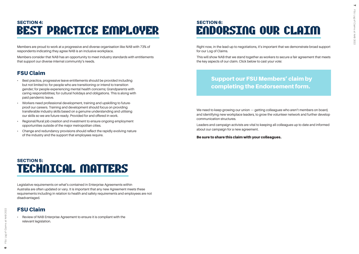# SECTION 6: ENDORSING OUR CLAIM

Right now, in the lead-up to negotiations, it's important that we demonstrate broad support for our Log of Claims.

This will show NAB that we stand together as workers to secure a fair agreement that meets the key aspects of our claim. Click below to cast your vote:

We need to keep growing our union — getting colleagues who aren't members on board, and identifying new workplace leaders, to grow the volunteer network and further develop communication structures.

Leaders and campaign activists are vital to keeping all colleagues up to date and informed about our campaign for a new agreement.

#### Be sure to share this claim with your colleagues.

# SECTION 4: BEST PRACTICE EMPLOYER

Members are proud to work at a progressive and diverse organisation like NAB with 73% of respondents indicating they agree NAB is an inclusive workplace.

Members consider that NAB has an opportunity to meet industry standards with entitlements that support our diverse internal community's needs.

### FSU Claim

## **Support our FSU Members' claim by** [completing the Endorsement form](https://forms.office.com/r/hBuJz27RMF).

- Best practice, progressive leave entitlements should be provided including but not limited to: for people who are transitioning or intend to transition gender; for people experiencing mental health concerns; Grandparents with caring responsibilities; for cultural holidays and obligations. This is along with paid pandemic leave.
- Workers need professional development, training and upskilling to futureproof our careers. Training and development should focus on providing transferable industry skills based on a genuine understanding and utilising our skills so we are future-ready. Provided for and offered in work.
- Regional/Rural job creation and investment to ensure ongoing employment opportunities outside of the major metropolitan cities.
- Change and redundancy provisions should reflect the rapidly evolving nature of the industry and the support that employees require.

# SECTION 5: TECHNICAL MATTERS

Legislative requirements on what's contained in Enterprise Agreements within Australia are often updated or vary. It is important that any new Agreement meets these requirements including in relation to health and safety requirements and employees are not disadvantaged.

### FSU Claim

• Review of NAB Enterprise Agreement to ensure it is compliant with the relevant legislation.